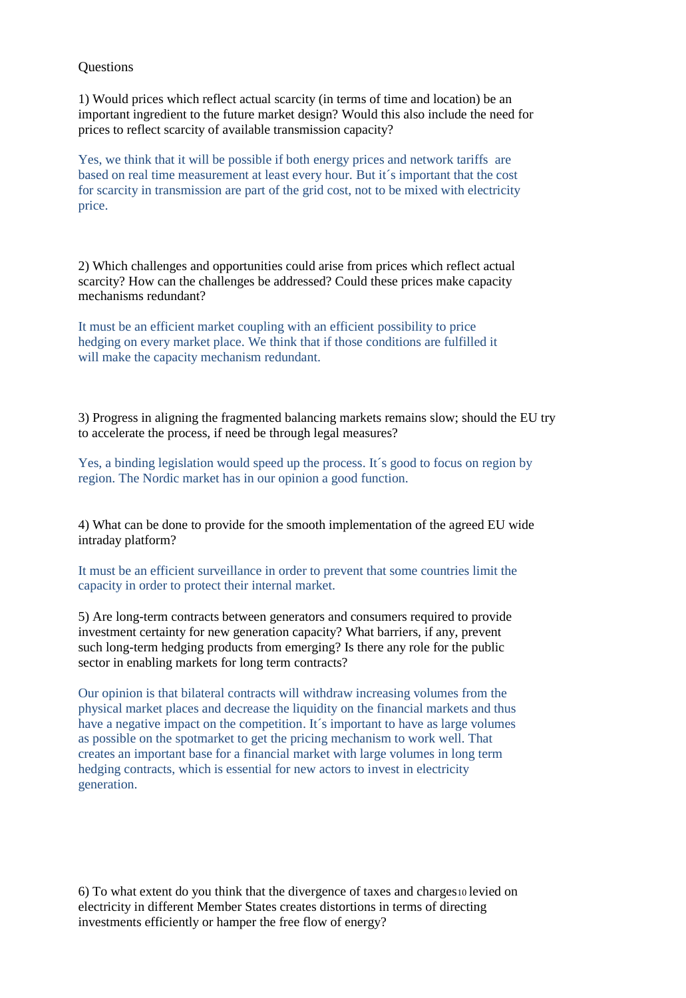**Questions** 

1) Would prices which reflect actual scarcity (in terms of time and location) be an important ingredient to the future market design? Would this also include the need for prices to reflect scarcity of available transmission capacity?

Yes, we think that it will be possible if both energy prices and network tariffs are based on real time measurement at least every hour. But it´s important that the cost for scarcity in transmission are part of the grid cost, not to be mixed with electricity price.

2) Which challenges and opportunities could arise from prices which reflect actual scarcity? How can the challenges be addressed? Could these prices make capacity mechanisms redundant?

It must be an efficient market coupling with an efficient possibility to price hedging on every market place. We think that if those conditions are fulfilled it will make the capacity mechanism redundant.

3) Progress in aligning the fragmented balancing markets remains slow; should the EU try to accelerate the process, if need be through legal measures?

Yes, a binding legislation would speed up the process. It´s good to focus on region by region. The Nordic market has in our opinion a good function.

4) What can be done to provide for the smooth implementation of the agreed EU wide intraday platform?

It must be an efficient surveillance in order to prevent that some countries limit the capacity in order to protect their internal market.

5) Are long-term contracts between generators and consumers required to provide investment certainty for new generation capacity? What barriers, if any, prevent such long-term hedging products from emerging? Is there any role for the public sector in enabling markets for long term contracts?

Our opinion is that bilateral contracts will withdraw increasing volumes from the physical market places and decrease the liquidity on the financial markets and thus have a negative impact on the competition. It's important to have as large volumes as possible on the spotmarket to get the pricing mechanism to work well. That creates an important base for a financial market with large volumes in long term hedging contracts, which is essential for new actors to invest in electricity generation.

6) To what extent do you think that the divergence of taxes and charges10 levied on electricity in different Member States creates distortions in terms of directing investments efficiently or hamper the free flow of energy?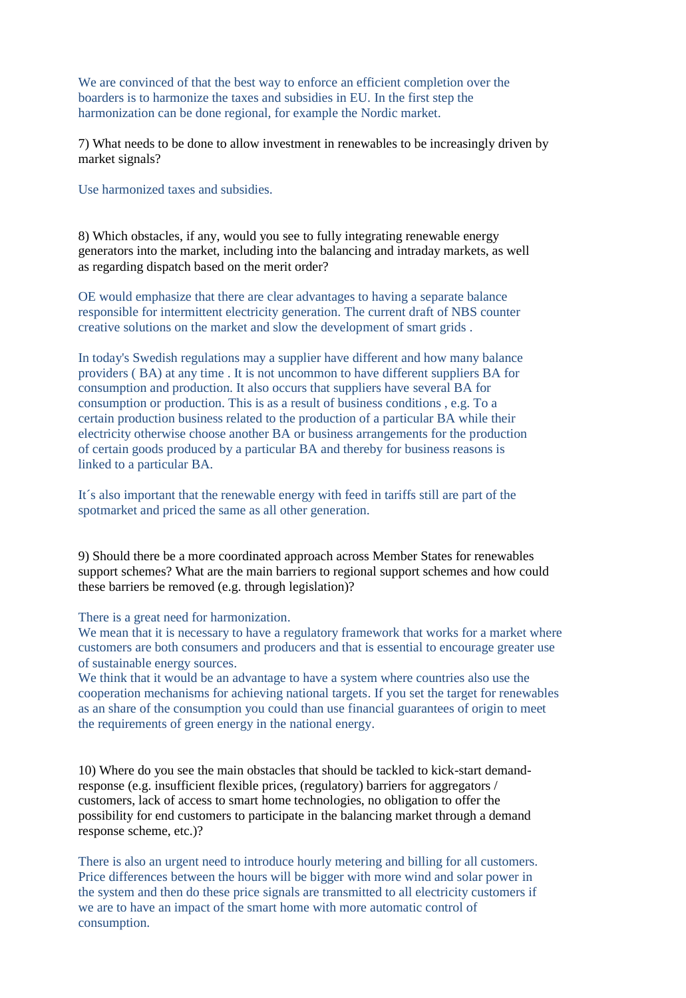We are convinced of that the best way to enforce an efficient completion over the boarders is to harmonize the taxes and subsidies in EU. In the first step the harmonization can be done regional, for example the Nordic market.

7) What needs to be done to allow investment in renewables to be increasingly driven by market signals?

Use harmonized taxes and subsidies.

8) Which obstacles, if any, would you see to fully integrating renewable energy generators into the market, including into the balancing and intraday markets, as well as regarding dispatch based on the merit order?

OE would emphasize that there are clear advantages to having a separate balance responsible for intermittent electricity generation. The current draft of NBS counter creative solutions on the market and slow the development of smart grids .

In today's Swedish regulations may a supplier have different and how many balance providers ( BA) at any time . It is not uncommon to have different suppliers BA for consumption and production. It also occurs that suppliers have several BA for consumption or production. This is as a result of business conditions , e.g. To a certain production business related to the production of a particular BA while their electricity otherwise choose another BA or business arrangements for the production of certain goods produced by a particular BA and thereby for business reasons is linked to a particular BA.

It´s also important that the renewable energy with feed in tariffs still are part of the spotmarket and priced the same as all other generation.

9) Should there be a more coordinated approach across Member States for renewables support schemes? What are the main barriers to regional support schemes and how could these barriers be removed (e.g. through legislation)?

There is a great need for harmonization.

We mean that it is necessary to have a regulatory framework that works for a market where customers are both consumers and producers and that is essential to encourage greater use of sustainable energy sources.

We think that it would be an advantage to have a system where countries also use the cooperation mechanisms for achieving national targets. If you set the target for renewables as an share of the consumption you could than use financial guarantees of origin to meet the requirements of green energy in the national energy.

10) Where do you see the main obstacles that should be tackled to kick-start demandresponse (e.g. insufficient flexible prices, (regulatory) barriers for aggregators / customers, lack of access to smart home technologies, no obligation to offer the possibility for end customers to participate in the balancing market through a demand response scheme, etc.)?

There is also an urgent need to introduce hourly metering and billing for all customers. Price differences between the hours will be bigger with more wind and solar power in the system and then do these price signals are transmitted to all electricity customers if we are to have an impact of the smart home with more automatic control of consumption.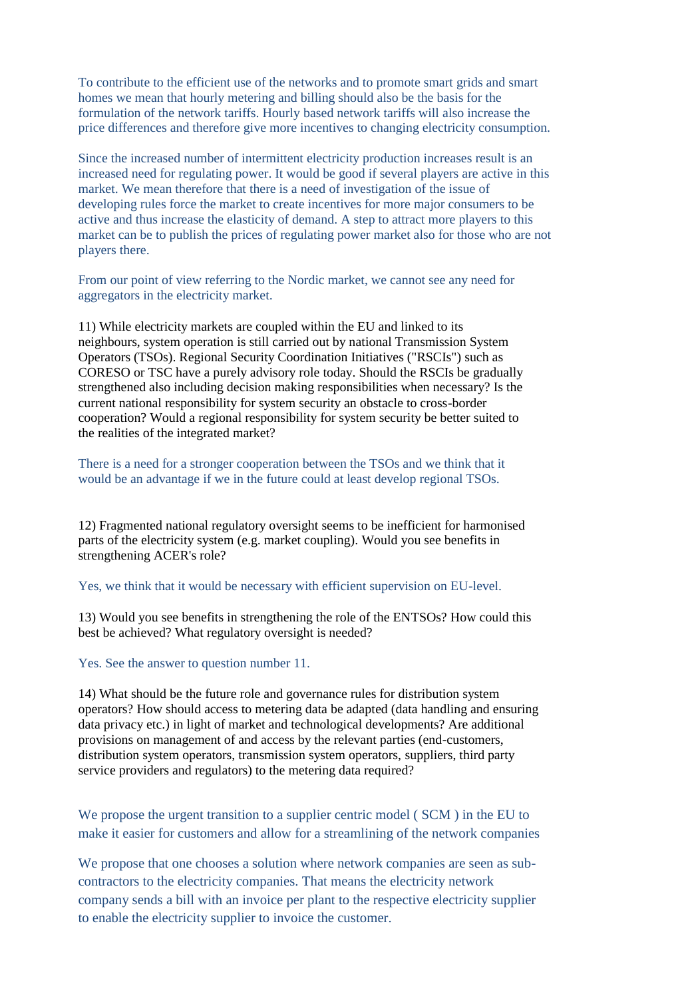To contribute to the efficient use of the networks and to promote smart grids and smart homes we mean that hourly metering and billing should also be the basis for the formulation of the network tariffs. Hourly based network tariffs will also increase the price differences and therefore give more incentives to changing electricity consumption.

Since the increased number of intermittent electricity production increases result is an increased need for regulating power. It would be good if several players are active in this market. We mean therefore that there is a need of investigation of the issue of developing rules force the market to create incentives for more major consumers to be active and thus increase the elasticity of demand. A step to attract more players to this market can be to publish the prices of regulating power market also for those who are not players there.

From our point of view referring to the Nordic market, we cannot see any need for aggregators in the electricity market.

11) While electricity markets are coupled within the EU and linked to its neighbours, system operation is still carried out by national Transmission System Operators (TSOs). Regional Security Coordination Initiatives ("RSCIs") such as CORESO or TSC have a purely advisory role today. Should the RSCIs be gradually strengthened also including decision making responsibilities when necessary? Is the current national responsibility for system security an obstacle to cross-border cooperation? Would a regional responsibility for system security be better suited to the realities of the integrated market?

There is a need for a stronger cooperation between the TSOs and we think that it would be an advantage if we in the future could at least develop regional TSOs.

12) Fragmented national regulatory oversight seems to be inefficient for harmonised parts of the electricity system (e.g. market coupling). Would you see benefits in strengthening ACER's role?

Yes, we think that it would be necessary with efficient supervision on EU-level.

13) Would you see benefits in strengthening the role of the ENTSOs? How could this best be achieved? What regulatory oversight is needed?

Yes. See the answer to question number 11.

14) What should be the future role and governance rules for distribution system operators? How should access to metering data be adapted (data handling and ensuring data privacy etc.) in light of market and technological developments? Are additional provisions on management of and access by the relevant parties (end-customers, distribution system operators, transmission system operators, suppliers, third party service providers and regulators) to the metering data required?

We propose the urgent transition to a supplier centric model ( SCM ) in the EU to make it easier for customers and allow for a streamlining of the network companies

We propose that one chooses a solution where network companies are seen as subcontractors to the electricity companies. That means the electricity network company sends a bill with an invoice per plant to the respective electricity supplier to enable the electricity supplier to invoice the customer.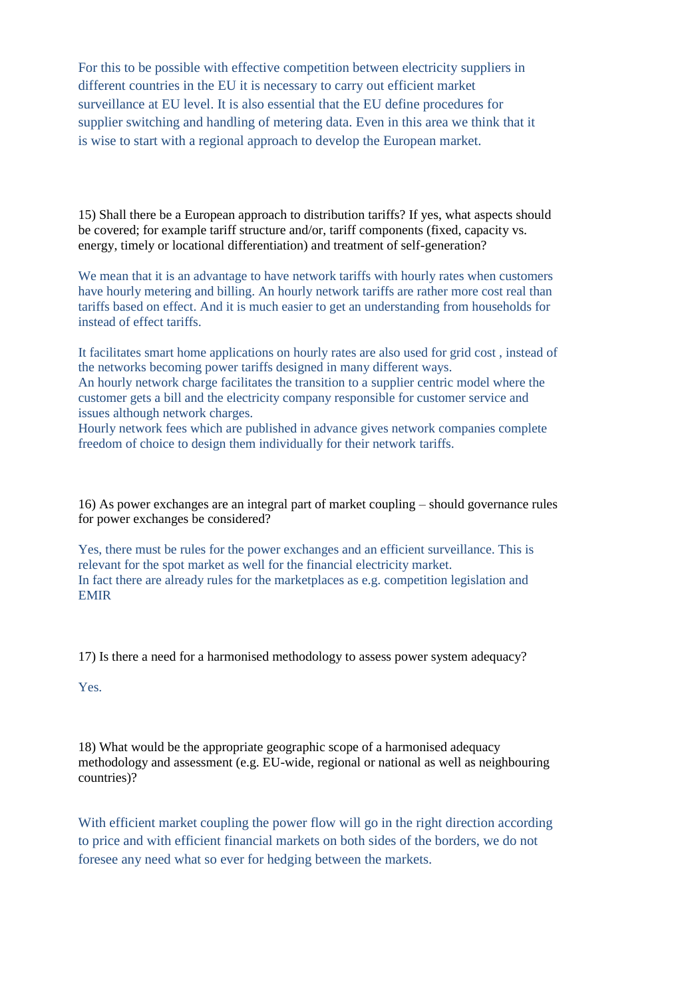For this to be possible with effective competition between electricity suppliers in different countries in the EU it is necessary to carry out efficient market surveillance at EU level. It is also essential that the EU define procedures for supplier switching and handling of metering data. Even in this area we think that it is wise to start with a regional approach to develop the European market.

15) Shall there be a European approach to distribution tariffs? If yes, what aspects should be covered; for example tariff structure and/or, tariff components (fixed, capacity vs. energy, timely or locational differentiation) and treatment of self-generation?

We mean that it is an advantage to have network tariffs with hourly rates when customers have hourly metering and billing. An hourly network tariffs are rather more cost real than tariffs based on effect. And it is much easier to get an understanding from households for instead of effect tariffs.

It facilitates smart home applications on hourly rates are also used for grid cost , instead of the networks becoming power tariffs designed in many different ways.

An hourly network charge facilitates the transition to a supplier centric model where the customer gets a bill and the electricity company responsible for customer service and issues although network charges.

Hourly network fees which are published in advance gives network companies complete freedom of choice to design them individually for their network tariffs.

16) As power exchanges are an integral part of market coupling – should governance rules for power exchanges be considered?

Yes, there must be rules for the power exchanges and an efficient surveillance. This is relevant for the spot market as well for the financial electricity market. In fact there are already rules for the marketplaces as e.g. competition legislation and EMIR

17) Is there a need for a harmonised methodology to assess power system adequacy?

Yes.

18) What would be the appropriate geographic scope of a harmonised adequacy methodology and assessment (e.g. EU-wide, regional or national as well as neighbouring countries)?

With efficient market coupling the power flow will go in the right direction according to price and with efficient financial markets on both sides of the borders, we do not foresee any need what so ever for hedging between the markets.